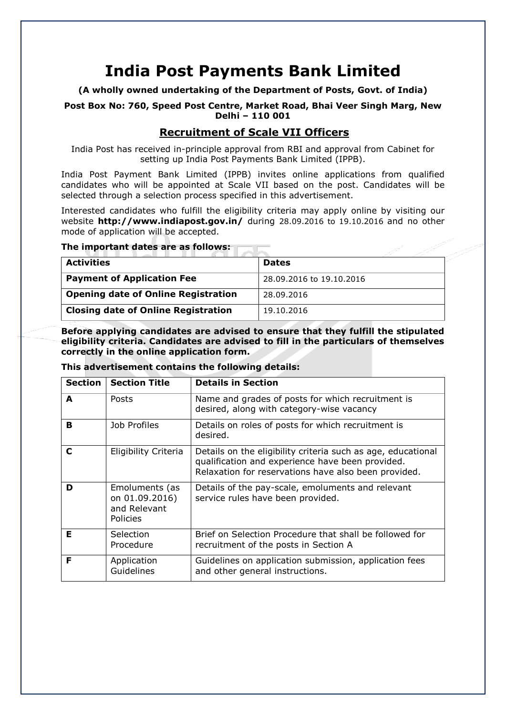# **India Post Payments Bank Limited**

**(A wholly owned undertaking of the Department of Posts, Govt. of India)**

**Post Box No: 760, Speed Post Centre, Market Road, Bhai Veer Singh Marg, New Delhi – 110 001**

### **Recruitment of Scale VII Officers**

India Post has received in-principle approval from RBI and approval from Cabinet for setting up India Post Payments Bank Limited (IPPB).

India Post Payment Bank Limited (IPPB) invites online applications from qualified candidates who will be appointed at Scale VII based on the post. Candidates will be selected through a selection process specified in this advertisement.

Interested candidates who fulfill the eligibility criteria may apply online by visiting our website **<http://www.indiapost.gov.in/>** during 28.09.2016 to 19.10.2016 and no other mode of application will be accepted.

### **The important dates are as follows:**

| <b>Activities</b>                          | <b>Dates</b>             |
|--------------------------------------------|--------------------------|
| <b>Payment of Application Fee</b>          | 28,09,2016 to 19,10,2016 |
| <b>Opening date of Online Registration</b> | 28.09.2016               |
| <b>Closing date of Online Registration</b> | 19.10.2016               |

**Before applying candidates are advised to ensure that they fulfill the stipulated eligibility criteria. Candidates are advised to fill in the particulars of themselves correctly in the online application form.**

#### **This advertisement contains the following details:**

| <b>Section</b> | <b>Section Title</b>                                         | <b>Details in Section</b>                                                                                                                                                |
|----------------|--------------------------------------------------------------|--------------------------------------------------------------------------------------------------------------------------------------------------------------------------|
| A              | <b>Posts</b>                                                 | Name and grades of posts for which recruitment is<br>desired, along with category-wise vacancy                                                                           |
| в              | Job Profiles                                                 | Details on roles of posts for which recruitment is<br>desired.                                                                                                           |
| C              | Eligibility Criteria                                         | Details on the eligibility criteria such as age, educational<br>qualification and experience have been provided.<br>Relaxation for reservations have also been provided. |
| D              | Emoluments (as<br>on 01.09.2016)<br>and Relevant<br>Policies | Details of the pay-scale, emoluments and relevant<br>service rules have been provided.                                                                                   |
| Е              | Selection<br>Procedure                                       | Brief on Selection Procedure that shall be followed for<br>recruitment of the posts in Section A                                                                         |
| F              | Application<br>Guidelines                                    | Guidelines on application submission, application fees<br>and other general instructions.                                                                                |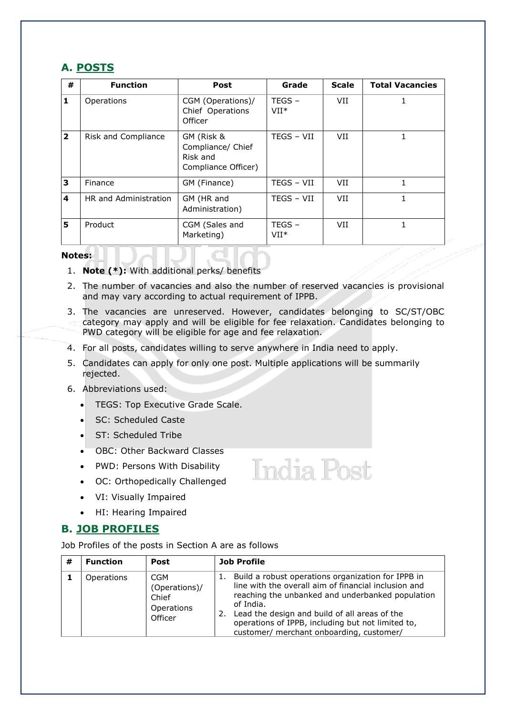### **A. POSTS**

| #              | <b>Function</b>                                        | <b>Post</b>                                                        | Grade              | <b>Scale</b> | <b>Total Vacancies</b> |
|----------------|--------------------------------------------------------|--------------------------------------------------------------------|--------------------|--------------|------------------------|
| 1              | Operations                                             | CGM (Operations)/<br>Chief Operations<br>Officer                   | $TEGS -$<br>$VII*$ | VII          |                        |
| $\overline{2}$ | Risk and Compliance                                    | GM (Risk &<br>Compliance/ Chief<br>Risk and<br>Compliance Officer) |                    | VII          |                        |
| 3              | Finance                                                | GM (Finance)                                                       | TEGS - VII         | VII          |                        |
| 4              | HR and Administration<br>GM (HR and<br>Administration) |                                                                    | TEGS - VII         | VII          |                        |
| 5              | Product                                                | CGM (Sales and<br>Marketing)                                       | $TEGS -$<br>$VII*$ | VII          |                        |

### **Notes:**

- 1. **Note (\*):** With additional perks/ benefits
- 2. The number of vacancies and also the number of reserved vacancies is provisional and may vary according to actual requirement of IPPB.
- 3. The vacancies are unreserved. However, candidates belonging to SC/ST/OBC category may apply and will be eligible for fee relaxation. Candidates belonging to PWD category will be eligible for age and fee relaxation.

**India Post** 

- 4. For all posts, candidates willing to serve anywhere in India need to apply.
- 5. Candidates can apply for only one post. Multiple applications will be summarily rejected.
- 6. Abbreviations used:
	- **TEGS: Top Executive Grade Scale.**
	- SC: Scheduled Caste
	- ST: Scheduled Tribe
	- OBC: Other Backward Classes
	- PWD: Persons With Disability
	- OC: Orthopedically Challenged
	- VI: Visually Impaired
	- HI: Hearing Impaired

### **B. JOB PROFILES**

Job Profiles of the posts in Section A are as follows

| # | <b>Function</b>   | Post                                                          | <b>Job Profile</b>                                                                                                                                                                                                                                                                                                                        |
|---|-------------------|---------------------------------------------------------------|-------------------------------------------------------------------------------------------------------------------------------------------------------------------------------------------------------------------------------------------------------------------------------------------------------------------------------------------|
|   | <b>Operations</b> | <b>CGM</b><br>(Operations)/<br>Chief<br>Operations<br>Officer | Build a robust operations organization for IPPB in<br>ı.<br>line with the overall aim of financial inclusion and<br>reaching the unbanked and underbanked population<br>of India.<br>Lead the design and build of all areas of the<br>2.<br>operations of IPPB, including but not limited to,<br>customer/ merchant onboarding, customer/ |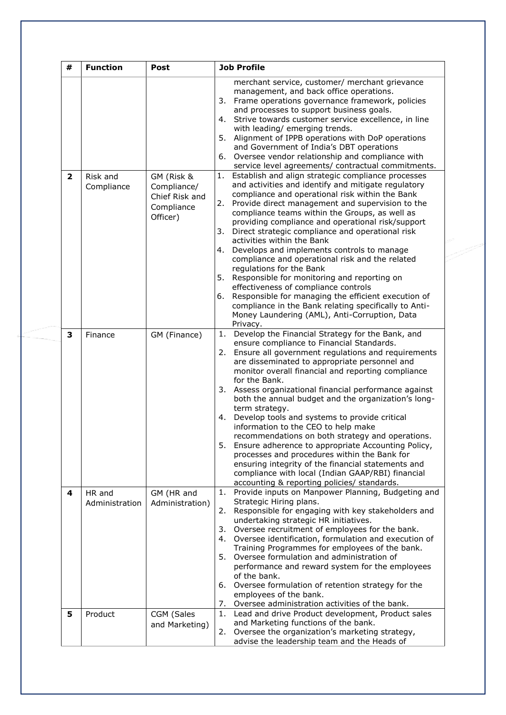| #                       | <b>Function</b>          | <b>Post</b>                                                           | <b>Job Profile</b>                                                                                                                                                                                                                                                                                                                                                                                                                                                                                                                                                                                                                                                                                                                                                                                                                             |  |  |
|-------------------------|--------------------------|-----------------------------------------------------------------------|------------------------------------------------------------------------------------------------------------------------------------------------------------------------------------------------------------------------------------------------------------------------------------------------------------------------------------------------------------------------------------------------------------------------------------------------------------------------------------------------------------------------------------------------------------------------------------------------------------------------------------------------------------------------------------------------------------------------------------------------------------------------------------------------------------------------------------------------|--|--|
|                         |                          |                                                                       | merchant service, customer/ merchant grievance<br>management, and back office operations.<br>Frame operations governance framework, policies<br>3.<br>and processes to support business goals.<br>4. Strive towards customer service excellence, in line<br>with leading/ emerging trends.<br>5.<br>Alignment of IPPB operations with DoP operations<br>and Government of India's DBT operations<br>Oversee vendor relationship and compliance with<br>6.<br>service level agreements/ contractual commitments.                                                                                                                                                                                                                                                                                                                                |  |  |
| $\overline{\mathbf{2}}$ | Risk and<br>Compliance   | GM (Risk &<br>Compliance/<br>Chief Risk and<br>Compliance<br>Officer) | Establish and align strategic compliance processes<br>1.<br>and activities and identify and mitigate regulatory<br>compliance and operational risk within the Bank<br>Provide direct management and supervision to the<br>2.<br>compliance teams within the Groups, as well as<br>providing compliance and operational risk/support<br>3.<br>Direct strategic compliance and operational risk<br>activities within the Bank<br>Develops and implements controls to manage<br>4.<br>compliance and operational risk and the related<br>regulations for the Bank<br>5.<br>Responsible for monitoring and reporting on<br>effectiveness of compliance controls<br>Responsible for managing the efficient execution of<br>6.<br>compliance in the Bank relating specifically to Anti-<br>Money Laundering (AML), Anti-Corruption, Data<br>Privacy. |  |  |
| 3                       | Finance                  | GM (Finance)                                                          | Develop the Financial Strategy for the Bank, and<br>1.<br>ensure compliance to Financial Standards.<br>2. Ensure all government regulations and requirements<br>are disseminated to appropriate personnel and<br>monitor overall financial and reporting compliance<br>for the Bank.<br>3. Assess organizational financial performance against<br>both the annual budget and the organization's long-<br>term strategy.<br>Develop tools and systems to provide critical<br>4.<br>information to the CEO to help make<br>recommendations on both strategy and operations.<br>5. Ensure adherence to appropriate Accounting Policy,<br>processes and procedures within the Bank for<br>ensuring integrity of the financial statements and<br>compliance with local (Indian GAAP/RBI) financial<br>accounting & reporting policies/ standards.   |  |  |
| 4                       | HR and<br>Administration | GM (HR and<br>Administration)                                         | Provide inputs on Manpower Planning, Budgeting and<br>1.<br>Strategic Hiring plans.<br>Responsible for engaging with key stakeholders and<br>2.<br>undertaking strategic HR initiatives.<br>Oversee recruitment of employees for the bank.<br>3.<br>Oversee identification, formulation and execution of<br>4.<br>Training Programmes for employees of the bank.<br>Oversee formulation and administration of<br>5.<br>performance and reward system for the employees<br>of the bank.<br>6. Oversee formulation of retention strategy for the<br>employees of the bank.<br>7. Oversee administration activities of the bank.                                                                                                                                                                                                                  |  |  |
| 5                       | Product                  | CGM (Sales<br>and Marketing)                                          | Lead and drive Product development, Product sales<br>1.<br>and Marketing functions of the bank.<br>Oversee the organization's marketing strategy,<br>2.<br>advise the leadership team and the Heads of                                                                                                                                                                                                                                                                                                                                                                                                                                                                                                                                                                                                                                         |  |  |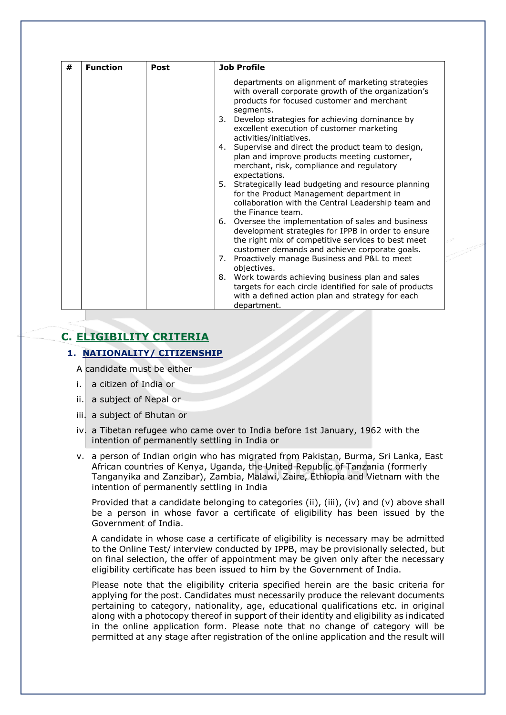| # | <b>Function</b> | Post | <b>Job Profile</b>                                                                                                                                                                                                                                                                                                                                                                                                                                                                                                                                                                                                                                                                                                                                                                                                                                                                                                                                                                                                                                                                                                      |
|---|-----------------|------|-------------------------------------------------------------------------------------------------------------------------------------------------------------------------------------------------------------------------------------------------------------------------------------------------------------------------------------------------------------------------------------------------------------------------------------------------------------------------------------------------------------------------------------------------------------------------------------------------------------------------------------------------------------------------------------------------------------------------------------------------------------------------------------------------------------------------------------------------------------------------------------------------------------------------------------------------------------------------------------------------------------------------------------------------------------------------------------------------------------------------|
|   |                 |      | departments on alignment of marketing strategies<br>with overall corporate growth of the organization's<br>products for focused customer and merchant<br>segments.<br>Develop strategies for achieving dominance by<br>3.<br>excellent execution of customer marketing<br>activities/initiatives.<br>Supervise and direct the product team to design,<br>4.<br>plan and improve products meeting customer,<br>merchant, risk, compliance and regulatory<br>expectations.<br>5. Strategically lead budgeting and resource planning<br>for the Product Management department in<br>collaboration with the Central Leadership team and<br>the Finance team.<br>6. Oversee the implementation of sales and business<br>development strategies for IPPB in order to ensure<br>the right mix of competitive services to best meet<br>customer demands and achieve corporate goals.<br>Proactively manage Business and P&L to meet<br>7.<br>objectives.<br>Work towards achieving business plan and sales<br>8.<br>targets for each circle identified for sale of products<br>with a defined action plan and strategy for each |
|   |                 |      | department.                                                                                                                                                                                                                                                                                                                                                                                                                                                                                                                                                                                                                                                                                                                                                                                                                                                                                                                                                                                                                                                                                                             |

## **C. ELIGIBILITY CRITERIA**

### **1. NATIONALITY/ CITIZENSHIP**

A candidate must be either

- i. a citizen of India or
- ii. a subject of Nepal or
- iii. a subject of Bhutan or
- iv. a Tibetan refugee who came over to India before 1st January, 1962 with the intention of permanently settling in India or
- v. a person of Indian origin who has migrated from Pakistan, Burma, Sri Lanka, East African countries of Kenya, Uganda, the United Republic of Tanzania (formerly Tanganyika and Zanzibar), Zambia, Malawi, Zaire, Ethiopia and Vietnam with the intention of permanently settling in India

Provided that a candidate belonging to categories (ii), (iii), (iv) and (v) above shall be a person in whose favor a certificate of eligibility has been issued by the Government of India.

A candidate in whose case a certificate of eligibility is necessary may be admitted to the Online Test/ interview conducted by IPPB, may be provisionally selected, but on final selection, the offer of appointment may be given only after the necessary eligibility certificate has been issued to him by the Government of India.

Please note that the eligibility criteria specified herein are the basic criteria for applying for the post. Candidates must necessarily produce the relevant documents pertaining to category, nationality, age, educational qualifications etc. in original along with a photocopy thereof in support of their identity and eligibility as indicated in the online application form. Please note that no change of category will be permitted at any stage after registration of the online application and the result will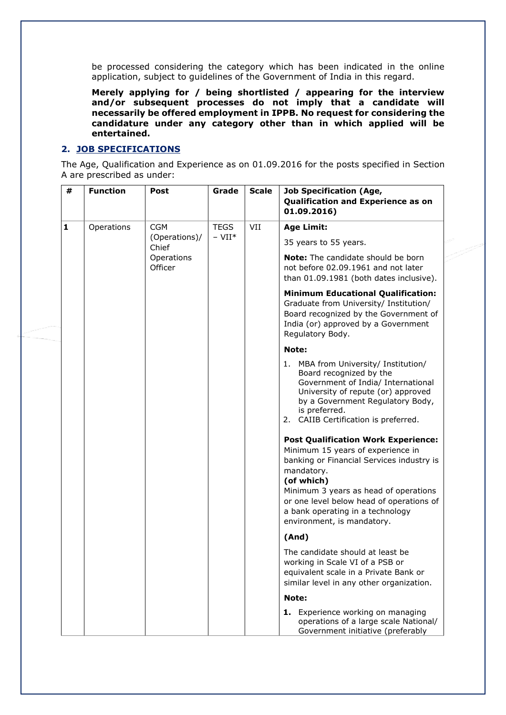be processed considering the category which has been indicated in the online application, subject to guidelines of the Government of India in this regard.

**Merely applying for / being shortlisted / appearing for the interview and/or subsequent processes do not imply that a candidate will necessarily be offered employment in IPPB. No request for considering the candidature under any category other than in which applied will be entertained.**

### **2. JOB SPECIFICATIONS**

The Age, Qualification and Experience as on 01.09.2016 for the posts specified in Section A are prescribed as under:

| #            | <b>Function</b> | <b>Post</b>            | Grade                | <b>Scale</b> | <b>Job Specification (Age,</b><br>Qualification and Experience as on<br>01.09.2016)                                                                                                                                                                                                                             |
|--------------|-----------------|------------------------|----------------------|--------------|-----------------------------------------------------------------------------------------------------------------------------------------------------------------------------------------------------------------------------------------------------------------------------------------------------------------|
| $\mathbf{1}$ | Operations      | <b>CGM</b>             | <b>TEGS</b>          | VII          | <b>Age Limit:</b>                                                                                                                                                                                                                                                                                               |
|              |                 | (Operations)/<br>Chief | $-$ VII <sup>*</sup> |              | 35 years to 55 years.                                                                                                                                                                                                                                                                                           |
|              |                 | Operations<br>Officer  |                      |              | <b>Note:</b> The candidate should be born<br>not before 02.09.1961 and not later<br>than 01.09.1981 (both dates inclusive).                                                                                                                                                                                     |
|              |                 |                        |                      |              | <b>Minimum Educational Qualification:</b><br>Graduate from University/ Institution/<br>Board recognized by the Government of<br>India (or) approved by a Government<br>Regulatory Body.                                                                                                                         |
|              |                 |                        |                      |              | Note:                                                                                                                                                                                                                                                                                                           |
|              |                 |                        |                      |              | 1. MBA from University/ Institution/<br>Board recognized by the<br>Government of India/ International<br>University of repute (or) approved<br>by a Government Regulatory Body,<br>is preferred.<br>2. CAIIB Certification is preferred.                                                                        |
|              |                 |                        |                      |              | <b>Post Qualification Work Experience:</b><br>Minimum 15 years of experience in<br>banking or Financial Services industry is<br>mandatory.<br>(of which)<br>Minimum 3 years as head of operations<br>or one level below head of operations of<br>a bank operating in a technology<br>environment, is mandatory. |
|              |                 |                        |                      |              | (And)                                                                                                                                                                                                                                                                                                           |
|              |                 |                        |                      |              | The candidate should at least be<br>working in Scale VI of a PSB or<br>equivalent scale in a Private Bank or<br>similar level in any other organization.                                                                                                                                                        |
|              |                 |                        |                      |              | Note:                                                                                                                                                                                                                                                                                                           |
|              |                 |                        |                      |              | 1. Experience working on managing<br>operations of a large scale National/<br>Government initiative (preferably                                                                                                                                                                                                 |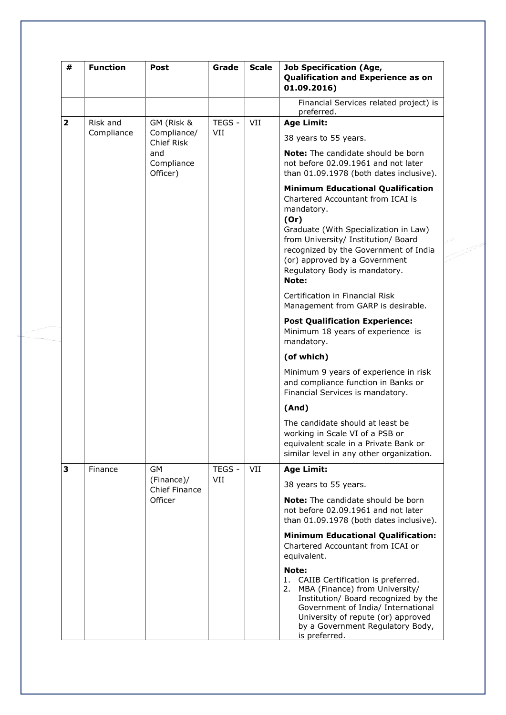| #                       | <b>Function</b>        | Post                          | Grade         | <b>Scale</b> | <b>Job Specification (Age,</b><br>Qualification and Experience as on<br>01.09.2016)                                                                                                                                                                                                                     |
|-------------------------|------------------------|-------------------------------|---------------|--------------|---------------------------------------------------------------------------------------------------------------------------------------------------------------------------------------------------------------------------------------------------------------------------------------------------------|
|                         |                        |                               |               |              | Financial Services related project) is<br>preferred.                                                                                                                                                                                                                                                    |
| $\overline{\mathbf{2}}$ | Risk and<br>Compliance | GM (Risk &                    | TEGS -        | VII          | <b>Age Limit:</b>                                                                                                                                                                                                                                                                                       |
|                         |                        | Compliance/<br>Chief Risk     | VII           |              | 38 years to 55 years.                                                                                                                                                                                                                                                                                   |
|                         |                        | and<br>Compliance<br>Officer) |               |              | <b>Note:</b> The candidate should be born<br>not before 02.09.1961 and not later<br>than 01.09.1978 (both dates inclusive).                                                                                                                                                                             |
|                         |                        |                               |               |              | <b>Minimum Educational Qualification</b><br>Chartered Accountant from ICAI is<br>mandatory.<br>(Or)<br>Graduate (With Specialization in Law)<br>from University/ Institution/ Board<br>recognized by the Government of India<br>(or) approved by a Government<br>Regulatory Body is mandatory.<br>Note: |
|                         |                        |                               |               |              | Certification in Financial Risk<br>Management from GARP is desirable.                                                                                                                                                                                                                                   |
|                         |                        |                               |               |              | <b>Post Qualification Experience:</b><br>Minimum 18 years of experience is<br>mandatory.                                                                                                                                                                                                                |
|                         |                        |                               |               |              | (of which)                                                                                                                                                                                                                                                                                              |
|                         |                        |                               |               |              | Minimum 9 years of experience in risk<br>and compliance function in Banks or<br>Financial Services is mandatory.                                                                                                                                                                                        |
|                         |                        |                               |               |              | (And)                                                                                                                                                                                                                                                                                                   |
|                         |                        |                               |               |              | The candidate should at least be<br>working in Scale VI of a PSB or<br>equivalent scale in a Private Bank or<br>similar level in any other organization.                                                                                                                                                |
| 3                       | Finance                | <b>GM</b>                     | TEGS -<br>VII | VII          | <b>Age Limit:</b>                                                                                                                                                                                                                                                                                       |
|                         |                        | (Finance)/<br>Chief Finance   |               |              | 38 years to 55 years.                                                                                                                                                                                                                                                                                   |
|                         |                        | Officer                       |               |              | Note: The candidate should be born<br>not before 02.09.1961 and not later<br>than 01.09.1978 (both dates inclusive).                                                                                                                                                                                    |
|                         |                        |                               |               |              | <b>Minimum Educational Qualification:</b><br>Chartered Accountant from ICAI or<br>equivalent.                                                                                                                                                                                                           |
|                         |                        |                               |               |              | Note:<br>1.<br>CAIIB Certification is preferred.<br>MBA (Finance) from University/<br>2.<br>Institution/ Board recognized by the<br>Government of India/ International<br>University of repute (or) approved<br>by a Government Regulatory Body,<br>is preferred.                                       |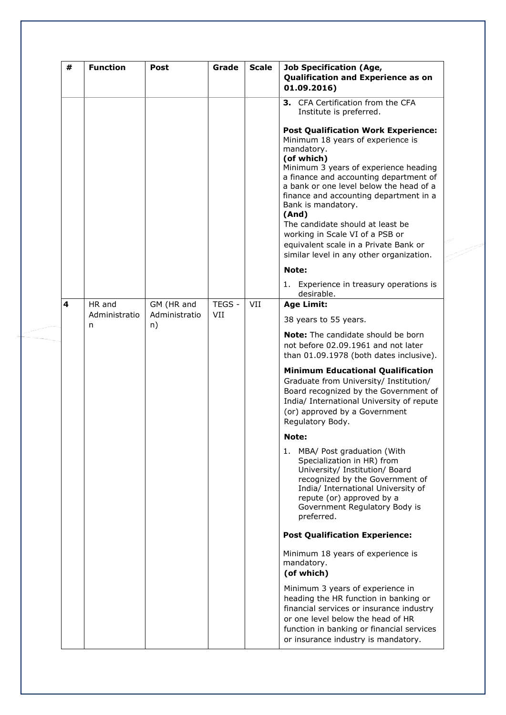| # | <b>Function</b>    | Post                | Grade  | <b>Scale</b> | <b>Job Specification (Age,</b><br>Qualification and Experience as on<br>01.09.2016)                                                                                                                                                                                                                                                                                                                                                                                            |
|---|--------------------|---------------------|--------|--------------|--------------------------------------------------------------------------------------------------------------------------------------------------------------------------------------------------------------------------------------------------------------------------------------------------------------------------------------------------------------------------------------------------------------------------------------------------------------------------------|
|   |                    |                     |        |              | 3. CFA Certification from the CFA<br>Institute is preferred.                                                                                                                                                                                                                                                                                                                                                                                                                   |
|   |                    |                     |        |              | <b>Post Qualification Work Experience:</b><br>Minimum 18 years of experience is<br>mandatory.<br>(of which)<br>Minimum 3 years of experience heading<br>a finance and accounting department of<br>a bank or one level below the head of a<br>finance and accounting department in a<br>Bank is mandatory.<br>(And)<br>The candidate should at least be<br>working in Scale VI of a PSB or<br>equivalent scale in a Private Bank or<br>similar level in any other organization. |
|   |                    |                     |        |              | Note:                                                                                                                                                                                                                                                                                                                                                                                                                                                                          |
|   |                    |                     |        |              | 1. Experience in treasury operations is<br>desirable.                                                                                                                                                                                                                                                                                                                                                                                                                          |
| 4 | HR and             | GM (HR and          | TEGS - | VII          | <b>Age Limit:</b>                                                                                                                                                                                                                                                                                                                                                                                                                                                              |
|   | Administratio<br>n | Administratio<br>n) | VII    |              | 38 years to 55 years.                                                                                                                                                                                                                                                                                                                                                                                                                                                          |
|   |                    |                     |        |              | <b>Note:</b> The candidate should be born<br>not before 02.09.1961 and not later<br>than 01.09.1978 (both dates inclusive).                                                                                                                                                                                                                                                                                                                                                    |
|   |                    |                     |        |              | <b>Minimum Educational Qualification</b><br>Graduate from University/ Institution/<br>Board recognized by the Government of<br>India/ International University of repute<br>(or) approved by a Government<br>Regulatory Body.                                                                                                                                                                                                                                                  |
|   |                    |                     |        |              | Note:                                                                                                                                                                                                                                                                                                                                                                                                                                                                          |
|   |                    |                     |        |              | 1. MBA/ Post graduation (With<br>Specialization in HR) from<br>University/ Institution/ Board<br>recognized by the Government of<br>India/ International University of<br>repute (or) approved by a<br>Government Regulatory Body is<br>preferred.                                                                                                                                                                                                                             |
|   |                    |                     |        |              | <b>Post Qualification Experience:</b>                                                                                                                                                                                                                                                                                                                                                                                                                                          |
|   |                    |                     |        |              | Minimum 18 years of experience is<br>mandatory.<br>(of which)                                                                                                                                                                                                                                                                                                                                                                                                                  |
|   |                    |                     |        |              | Minimum 3 years of experience in<br>heading the HR function in banking or<br>financial services or insurance industry<br>or one level below the head of HR<br>function in banking or financial services<br>or insurance industry is mandatory.                                                                                                                                                                                                                                 |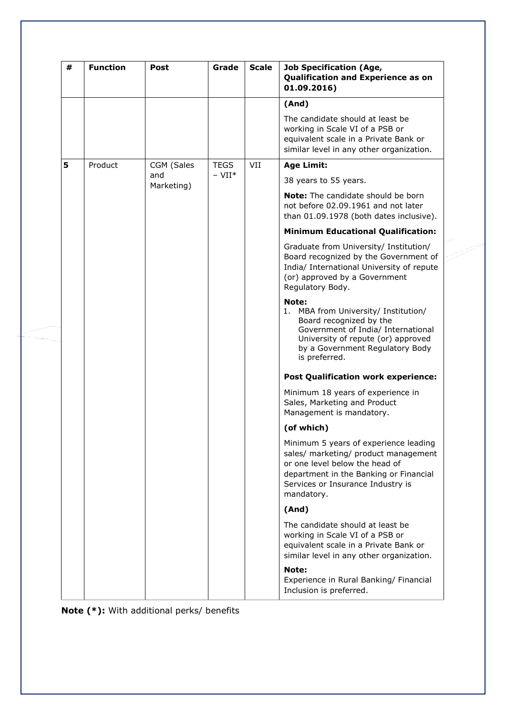| # | <b>Function</b> | Post              | Grade                | <b>Scale</b> | <b>Job Specification (Age,</b><br>Qualification and Experience as on<br>01.09.2016)                                                                                                                          |  |  |  |  |  |  |  |            |
|---|-----------------|-------------------|----------------------|--------------|--------------------------------------------------------------------------------------------------------------------------------------------------------------------------------------------------------------|--|--|--|--|--|--|--|------------|
|   |                 |                   |                      |              | (And)                                                                                                                                                                                                        |  |  |  |  |  |  |  |            |
|   |                 |                   |                      |              | The candidate should at least be<br>working in Scale VI of a PSB or<br>equivalent scale in a Private Bank or<br>similar level in any other organization.                                                     |  |  |  |  |  |  |  |            |
| 5 | Product         | CGM (Sales        | <b>TEGS</b>          | VII          | <b>Age Limit:</b>                                                                                                                                                                                            |  |  |  |  |  |  |  |            |
|   |                 | and<br>Marketing) | $-$ VII <sup>*</sup> |              | 38 years to 55 years.                                                                                                                                                                                        |  |  |  |  |  |  |  |            |
|   |                 |                   |                      |              | <b>Note:</b> The candidate should be born<br>not before 02.09.1961 and not later<br>than 01.09.1978 (both dates inclusive).                                                                                  |  |  |  |  |  |  |  |            |
|   |                 |                   |                      |              | <b>Minimum Educational Qualification:</b>                                                                                                                                                                    |  |  |  |  |  |  |  |            |
|   |                 |                   |                      |              | Graduate from University/ Institution/<br>Board recognized by the Government of<br>India/ International University of repute<br>(or) approved by a Government<br>Regulatory Body.                            |  |  |  |  |  |  |  |            |
|   |                 |                   |                      |              | Note:<br>1. MBA from University/ Institution/<br>Board recognized by the<br>Government of India/ International<br>University of repute (or) approved<br>by a Government Regulatory Body<br>is preferred.     |  |  |  |  |  |  |  |            |
|   |                 |                   |                      |              | <b>Post Qualification work experience:</b>                                                                                                                                                                   |  |  |  |  |  |  |  |            |
|   |                 |                   |                      |              | Minimum 18 years of experience in<br>Sales, Marketing and Product<br>Management is mandatory.                                                                                                                |  |  |  |  |  |  |  |            |
|   |                 |                   |                      |              |                                                                                                                                                                                                              |  |  |  |  |  |  |  | (of which) |
|   |                 |                   |                      |              | Minimum 5 years of experience leading<br>sales/ marketing/ product management<br>or one level below the head of<br>department in the Banking or Financial<br>Services or Insurance Industry is<br>mandatory. |  |  |  |  |  |  |  |            |
|   |                 |                   |                      |              | (And)                                                                                                                                                                                                        |  |  |  |  |  |  |  |            |
|   |                 |                   |                      |              | The candidate should at least be<br>working in Scale VI of a PSB or<br>equivalent scale in a Private Bank or<br>similar level in any other organization.                                                     |  |  |  |  |  |  |  |            |
|   |                 |                   |                      |              | Note:<br>Experience in Rural Banking/ Financial<br>Inclusion is preferred.                                                                                                                                   |  |  |  |  |  |  |  |            |

**Note (\*):** With additional perks/ benefits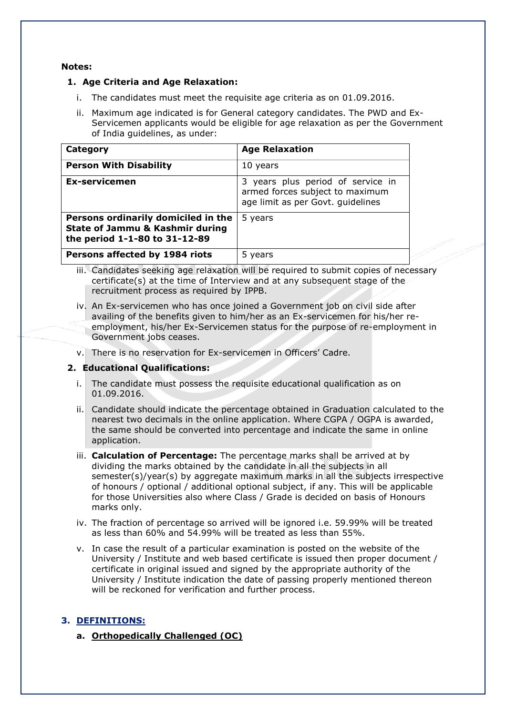### **Notes:**

### **1. Age Criteria and Age Relaxation:**

- i. The candidates must meet the requisite age criteria as on 01.09.2016.
- ii. Maximum age indicated is for General category candidates. The PWD and Ex-Servicemen applicants would be eligible for age relaxation as per the Government of India guidelines, as under:

| Category                                                                                                           | <b>Age Relaxation</b>                                                                                     |
|--------------------------------------------------------------------------------------------------------------------|-----------------------------------------------------------------------------------------------------------|
| <b>Person With Disability</b>                                                                                      | 10 years                                                                                                  |
| Ex-servicemen                                                                                                      | 3 years plus period of service in<br>armed forces subject to maximum<br>age limit as per Govt. guidelines |
| Persons ordinarily domiciled in the<br><b>State of Jammu &amp; Kashmir during</b><br>the period 1-1-80 to 31-12-89 | 5 years                                                                                                   |
| Persons affected by 1984 riots                                                                                     | 5 years                                                                                                   |

- iii. Candidates seeking age relaxation will be required to submit copies of necessary certificate(s) at the time of Interview and at any subsequent stage of the recruitment process as required by IPPB.
- iv. An Ex-servicemen who has once joined a Government job on civil side after availing of the benefits given to him/her as an Ex-servicemen for his/her reemployment, his/her Ex-Servicemen status for the purpose of re-employment in Government jobs ceases.
- v. There is no reservation for Ex-servicemen in Officers' Cadre.

### **2. Educational Qualifications:**

- i. The candidate must possess the requisite educational qualification as on 01.09.2016.
- ii. Candidate should indicate the percentage obtained in Graduation calculated to the nearest two decimals in the online application. Where CGPA / OGPA is awarded, the same should be converted into percentage and indicate the same in online application.
- iii. **Calculation of Percentage:** The percentage marks shall be arrived at by dividing the marks obtained by the candidate in all the subjects in all semester(s)/year(s) by aggregate maximum marks in all the subjects irrespective of honours / optional / additional optional subject, if any. This will be applicable for those Universities also where Class / Grade is decided on basis of Honours marks only.
- iv. The fraction of percentage so arrived will be ignored i.e. 59.99% will be treated as less than 60% and 54.99% will be treated as less than 55%.
- v. In case the result of a particular examination is posted on the website of the University / Institute and web based certificate is issued then proper document / certificate in original issued and signed by the appropriate authority of the University / Institute indication the date of passing properly mentioned thereon will be reckoned for verification and further process.

### **3. DEFINITIONS:**

**a. Orthopedically Challenged (OC)**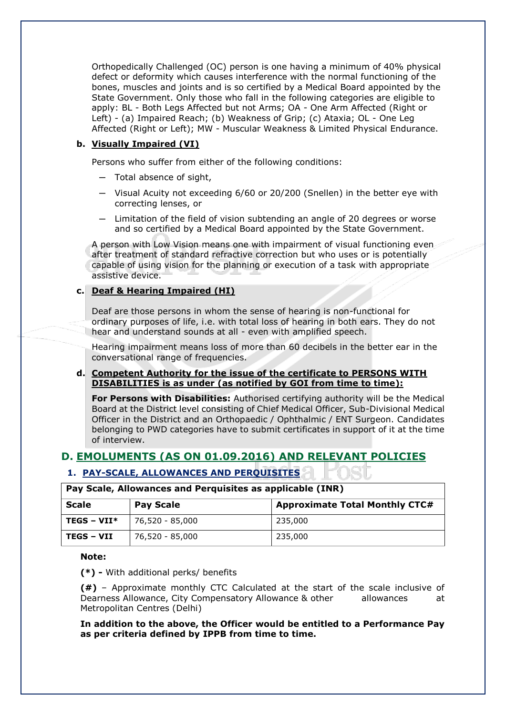Orthopedically Challenged (OC) person is one having a minimum of 40% physical defect or deformity which causes interference with the normal functioning of the bones, muscles and joints and is so certified by a Medical Board appointed by the State Government. Only those who fall in the following categories are eligible to apply: BL - Both Legs Affected but not Arms; OA - One Arm Affected (Right or Left) - (a) Impaired Reach; (b) Weakness of Grip; (c) Ataxia; OL - One Leg Affected (Right or Left); MW - Muscular Weakness & Limited Physical Endurance.

### **b. Visually Impaired (VI)**

Persons who suffer from either of the following conditions:

- ─ Total absence of sight,
- ─ Visual Acuity not exceeding 6/60 or 20/200 (Snellen) in the better eye with correcting lenses, or
- ─ Limitation of the field of vision subtending an angle of 20 degrees or worse and so certified by a Medical Board appointed by the State Government.

A person with Low Vision means one with impairment of visual functioning even after treatment of standard refractive correction but who uses or is potentially capable of using vision for the planning or execution of a task with appropriate assistive device.

### **c. Deaf & Hearing Impaired (HI)**

Deaf are those persons in whom the sense of hearing is non-functional for ordinary purposes of life, i.e. with total loss of hearing in both ears. They do not hear and understand sounds at all - even with amplified speech.

Hearing impairment means loss of more than 60 decibels in the better ear in the conversational range of frequencies.

### **d. Competent Authority for the issue of the certificate to PERSONS WITH DISABILITIES is as under (as notified by GOI from time to time):**

**For Persons with Disabilities:** Authorised certifying authority will be the Medical Board at the District level consisting of Chief Medical Officer, Sub-Divisional Medical Officer in the District and an Orthopaedic / Ophthalmic / ENT Surgeon. Candidates belonging to PWD categories have to submit certificates in support of it at the time of interview.

### **D. EMOLUMENTS (AS ON 01.09.2016) AND RELEVANT POLICIES**

### **1. PAY-SCALE, ALLOWANCES AND PERQUISITES**

|              | Pay Scale, Allowances and Perquisities as applicable (TNR) |                                       |  |  |  |  |
|--------------|------------------------------------------------------------|---------------------------------------|--|--|--|--|
| Scale        | <b>Pay Scale</b>                                           | <b>Approximate Total Monthly CTC#</b> |  |  |  |  |
| TEGS – VII*  | 76,520 - 85,000                                            | 235,000                               |  |  |  |  |
| ' TEGS – VII | 76,520 - 85,000                                            | 235,000                               |  |  |  |  |

# **Pay Scale, Allowances and Perquisites as applicable (INR)**

#### **Note:**

**(\*) -** With additional perks/ benefits

**(#)** – Approximate monthly CTC Calculated at the start of the scale inclusive of Dearness Allowance, City Compensatory Allowance & other allowances at Metropolitan Centres (Delhi)

**In addition to the above, the Officer would be entitled to a Performance Pay as per criteria defined by IPPB from time to time.**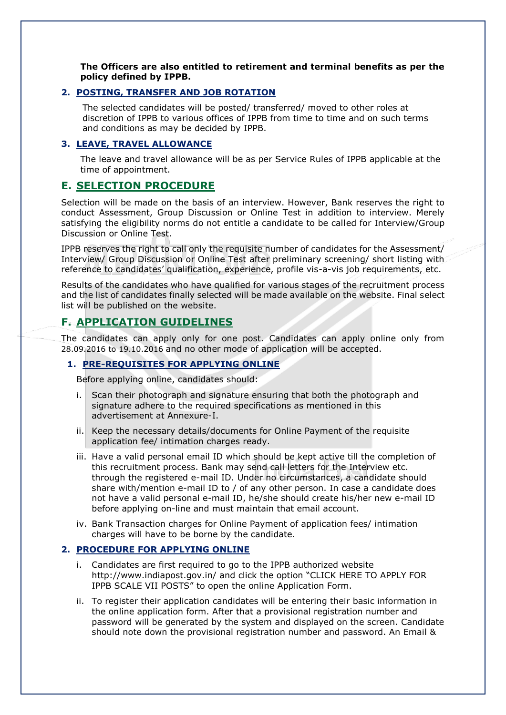**The Officers are also entitled to retirement and terminal benefits as per the policy defined by IPPB.** 

### **2. POSTING, TRANSFER AND JOB ROTATION**

The selected candidates will be posted/ transferred/ moved to other roles at discretion of IPPB to various offices of IPPB from time to time and on such terms and conditions as may be decided by IPPB.

### **3. LEAVE, TRAVEL ALLOWANCE**

The leave and travel allowance will be as per Service Rules of IPPB applicable at the time of appointment.

### **E. SELECTION PROCEDURE**

Selection will be made on the basis of an interview. However, Bank reserves the right to conduct Assessment, Group Discussion or Online Test in addition to interview. Merely satisfying the eligibility norms do not entitle a candidate to be called for Interview/Group Discussion or Online Test.

IPPB reserves the right to call only the requisite number of candidates for the Assessment/ Interview/ Group Discussion or Online Test after preliminary screening/ short listing with reference to candidates' qualification, experience, profile vis-a-vis job requirements, etc.

Results of the candidates who have qualified for various stages of the recruitment process and the list of candidates finally selected will be made available on the website. Final select list will be published on the website.

### **F. APPLICATION GUIDELINES**

The candidates can apply only for one post. Candidates can apply online only from 28.09.2016 to 19.10.2016 and no other mode of application will be accepted.

### **1. PRE-REQUISITES FOR APPLYING ONLINE**

Before applying online, candidates should:

- i. Scan their photograph and signature ensuring that both the photograph and signature adhere to the required specifications as mentioned in this advertisement at Annexure-I.
- ii. Keep the necessary details/documents for Online Payment of the requisite application fee/ intimation charges ready.
- iii. Have a valid personal email ID which should be kept active till the completion of this recruitment process. Bank may send call letters for the Interview etc. through the registered e-mail ID. Under no circumstances, a candidate should share with/mention e-mail ID to / of any other person. In case a candidate does not have a valid personal e-mail ID, he/she should create his/her new e-mail ID before applying on-line and must maintain that email account.
- iv. Bank Transaction charges for Online Payment of application fees/ intimation charges will have to be borne by the candidate.

### **2. PROCEDURE FOR APPLYING ONLINE**

- Candidates are first required to go to the IPPB authorized website <http://www.indiapost.gov.in/> and click the option "CLICK HERE TO APPLY FOR IPPB SCALE VII POSTS" to open the online Application Form.
- ii. To register their application candidates will be entering their basic information in the online application form. After that a provisional registration number and password will be generated by the system and displayed on the screen. Candidate should note down the provisional registration number and password. An Email &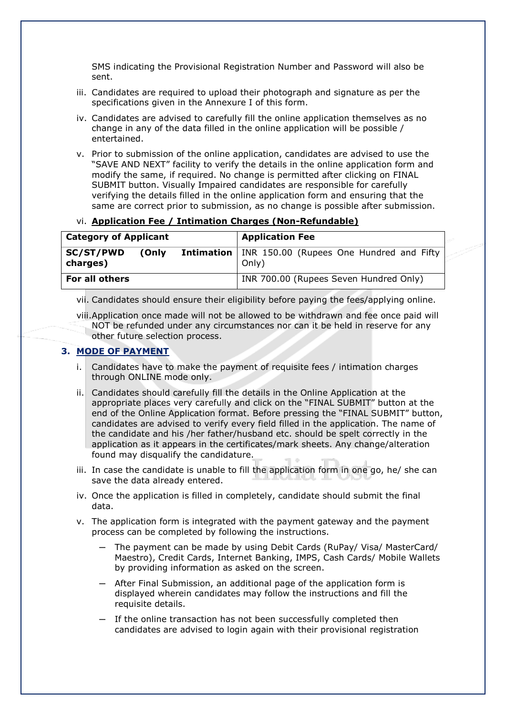SMS indicating the Provisional Registration Number and Password will also be sent.

- iii. Candidates are required to upload their photograph and signature as per the specifications given in the Annexure I of this form.
- iv. Candidates are advised to carefully fill the online application themselves as no change in any of the data filled in the online application will be possible / entertained.
- v. Prior to submission of the online application, candidates are advised to use the "SAVE AND NEXT" facility to verify the details in the online application form and modify the same, if required. No change is permitted after clicking on FINAL SUBMIT button. Visually Impaired candidates are responsible for carefully verifying the details filled in the online application form and ensuring that the same are correct prior to submission, as no change is possible after submission.

### vi. **Application Fee / Intimation Charges (Non-Refundable)**

| <b>Category of Applicant</b> |       |  | <b>Application Fee</b>                                                |
|------------------------------|-------|--|-----------------------------------------------------------------------|
| SC/ST/PWD<br>charges)        | (Only |  | <b>Intimation</b>   INR 150.00 (Rupees One Hundred and Fifty<br>Only) |
| For all others               |       |  | INR 700.00 (Rupees Seven Hundred Only)                                |

vii. Candidates should ensure their eligibility before paying the fees/applying online.

viii.Application once made will not be allowed to be withdrawn and fee once paid will NOT be refunded under any circumstances nor can it be held in reserve for any other future selection process.

### **3. MODE OF PAYMENT**

- i. Candidates have to make the payment of requisite fees / intimation charges through ONLINE mode only.
- ii. Candidates should carefully fill the details in the Online Application at the appropriate places very carefully and click on the "FINAL SUBMIT" button at the end of the Online Application format. Before pressing the "FINAL SUBMIT" button, candidates are advised to verify every field filled in the application. The name of the candidate and his /her father/husband etc. should be spelt correctly in the application as it appears in the certificates/mark sheets. Any change/alteration found may disqualify the candidature.
- iii. In case the candidate is unable to fill the application form in one go, he/ she can save the data already entered.
- iv. Once the application is filled in completely, candidate should submit the final data.
- v. The application form is integrated with the payment gateway and the payment process can be completed by following the instructions.
	- ─ The payment can be made by using Debit Cards (RuPay/ Visa/ MasterCard/ Maestro), Credit Cards, Internet Banking, IMPS, Cash Cards/ Mobile Wallets by providing information as asked on the screen.
	- After Final Submission, an additional page of the application form is displayed wherein candidates may follow the instructions and fill the requisite details.
	- If the online transaction has not been successfully completed then candidates are advised to login again with their provisional registration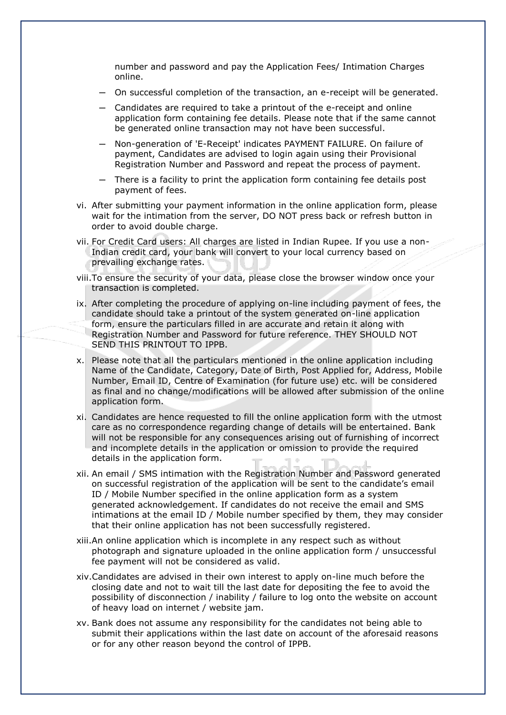number and password and pay the Application Fees/ Intimation Charges online.

- ─ On successful completion of the transaction, an e-receipt will be generated.
- ─ Candidates are required to take a printout of the e-receipt and online application form containing fee details. Please note that if the same cannot be generated online transaction may not have been successful.
- ─ Non-generation of 'E-Receipt' indicates PAYMENT FAILURE. On failure of payment, Candidates are advised to login again using their Provisional Registration Number and Password and repeat the process of payment.
- ─ There is a facility to print the application form containing fee details post payment of fees.
- vi. After submitting your payment information in the online application form, please wait for the intimation from the server, DO NOT press back or refresh button in order to avoid double charge.
- vii. For Credit Card users: All charges are listed in Indian Rupee. If you use a non-Indian credit card, your bank will convert to your local currency based on prevailing exchange rates.
- viii.To ensure the security of your data, please close the browser window once your transaction is completed.
- ix. After completing the procedure of applying on-line including payment of fees, the candidate should take a printout of the system generated on-line application form, ensure the particulars filled in are accurate and retain it along with Registration Number and Password for future reference. THEY SHOULD NOT SEND THIS PRINTOUT TO IPPB.
- x. Please note that all the particulars mentioned in the online application including Name of the Candidate, Category, Date of Birth, Post Applied for, Address, Mobile Number, Email ID, Centre of Examination (for future use) etc. will be considered as final and no change/modifications will be allowed after submission of the online application form.
- xi. Candidates are hence requested to fill the online application form with the utmost care as no correspondence regarding change of details will be entertained. Bank will not be responsible for any consequences arising out of furnishing of incorrect and incomplete details in the application or omission to provide the required details in the application form.
- xii. An email / SMS intimation with the Registration Number and Password generated on successful registration of the application will be sent to the candidate's email ID / Mobile Number specified in the online application form as a system generated acknowledgement. If candidates do not receive the email and SMS intimations at the email ID / Mobile number specified by them, they may consider that their online application has not been successfully registered.
- xiii.An online application which is incomplete in any respect such as without photograph and signature uploaded in the online application form / unsuccessful fee payment will not be considered as valid.
- xiv.Candidates are advised in their own interest to apply on-line much before the closing date and not to wait till the last date for depositing the fee to avoid the possibility of disconnection / inability / failure to log onto the website on account of heavy load on internet / website jam.
- xv. Bank does not assume any responsibility for the candidates not being able to submit their applications within the last date on account of the aforesaid reasons or for any other reason beyond the control of IPPB.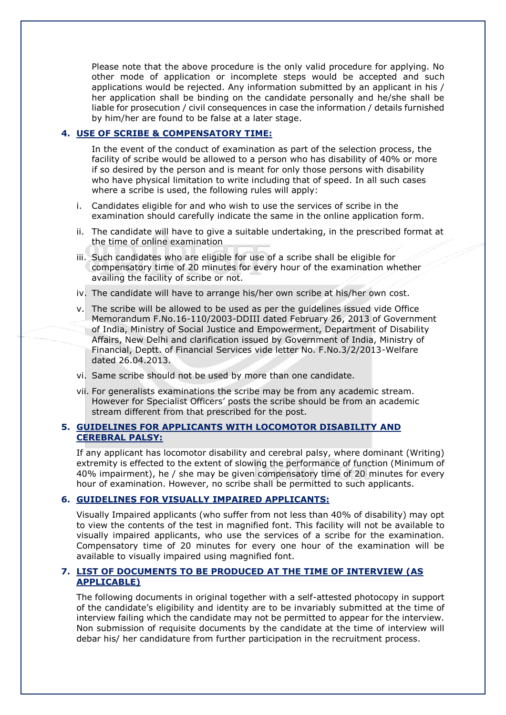Please note that the above procedure is the only valid procedure for applying. No other mode of application or incomplete steps would be accepted and such applications would be rejected. Any information submitted by an applicant in his / her application shall be binding on the candidate personally and he/she shall be liable for prosecution / civil consequences in case the information / details furnished by him/her are found to be false at a later stage.

### **4. USE OF SCRIBE & COMPENSATORY TIME:**

In the event of the conduct of examination as part of the selection process, the facility of scribe would be allowed to a person who has disability of 40% or more if so desired by the person and is meant for only those persons with disability who have physical limitation to write including that of speed. In all such cases where a scribe is used, the following rules will apply:

- i. Candidates eligible for and who wish to use the services of scribe in the examination should carefully indicate the same in the online application form.
- ii. The candidate will have to give a suitable undertaking, in the prescribed format at the time of online examination
- iii. Such candidates who are eligible for use of a scribe shall be eligible for compensatory time of 20 minutes for every hour of the examination whether availing the facility of scribe or not.
- iv. The candidate will have to arrange his/her own scribe at his/her own cost.
- v. The scribe will be allowed to be used as per the guidelines issued vide Office Memorandum F.No.16-110/2003-DDIII dated February 26, 2013 of Government of India, Ministry of Social Justice and Empowerment, Department of Disability Affairs, New Delhi and clarification issued by Government of India, Ministry of Financial, Deptt. of Financial Services vide letter No. F.No.3/2/2013-Welfare dated 26.04.2013.
- vi. Same scribe should not be used by more than one candidate.
- vii. For generalists examinations the scribe may be from any academic stream. However for Specialist Officers' posts the scribe should be from an academic stream different from that prescribed for the post.

### **5. GUIDELINES FOR APPLICANTS WITH LOCOMOTOR DISABILITY AND CEREBRAL PALSY:**

If any applicant has locomotor disability and cerebral palsy, where dominant (Writing) extremity is effected to the extent of slowing the performance of function (Minimum of 40% impairment), he / she may be given compensatory time of 20 minutes for every hour of examination. However, no scribe shall be permitted to such applicants.

### **6. GUIDELINES FOR VISUALLY IMPAIRED APPLICANTS:**

Visually Impaired applicants (who suffer from not less than 40% of disability) may opt to view the contents of the test in magnified font. This facility will not be available to visually impaired applicants, who use the services of a scribe for the examination. Compensatory time of 20 minutes for every one hour of the examination will be available to visually impaired using magnified font.

### **7. LIST OF DOCUMENTS TO BE PRODUCED AT THE TIME OF INTERVIEW (AS APPLICABLE)**

The following documents in original together with a self-attested photocopy in support of the candidate's eligibility and identity are to be invariably submitted at the time of interview failing which the candidate may not be permitted to appear for the interview. Non submission of requisite documents by the candidate at the time of interview will debar his/ her candidature from further participation in the recruitment process.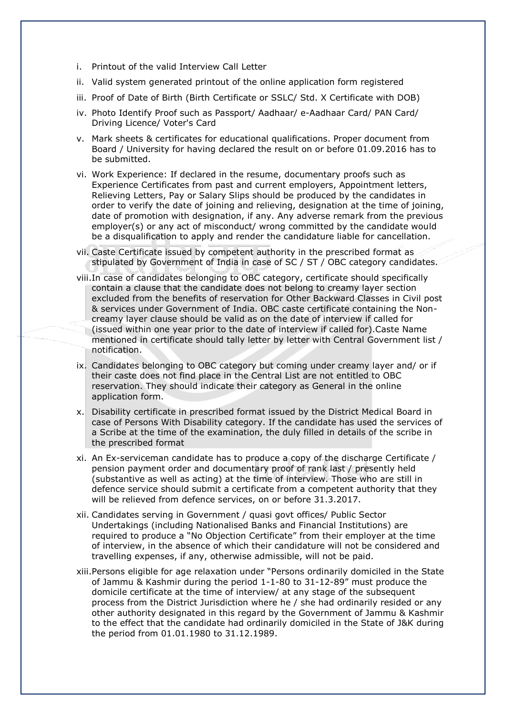- i. Printout of the valid Interview Call Letter
- ii. Valid system generated printout of the online application form registered
- iii. Proof of Date of Birth (Birth Certificate or SSLC/ Std. X Certificate with DOB)
- iv. Photo Identify Proof such as Passport/ Aadhaar/ e-Aadhaar Card/ PAN Card/ Driving Licence/ Voter's Card
- v. Mark sheets & certificates for educational qualifications. Proper document from Board / University for having declared the result on or before 01.09.2016 has to be submitted.
- vi. Work Experience: If declared in the resume, documentary proofs such as Experience Certificates from past and current employers, Appointment letters, Relieving Letters, Pay or Salary Slips should be produced by the candidates in order to verify the date of joining and relieving, designation at the time of joining, date of promotion with designation, if any. Any adverse remark from the previous employer(s) or any act of misconduct/ wrong committed by the candidate would be a disqualification to apply and render the candidature liable for cancellation.
- vii. Caste Certificate issued by competent authority in the prescribed format as stipulated by Government of India in case of SC / ST / OBC category candidates.
- viii.In case of candidates belonging to OBC category, certificate should specifically contain a clause that the candidate does not belong to creamy layer section excluded from the benefits of reservation for Other Backward Classes in Civil post & services under Government of India. OBC caste certificate containing the Noncreamy layer clause should be valid as on the date of interview if called for (issued within one year prior to the date of interview if called for).Caste Name mentioned in certificate should tally letter by letter with Central Government list / notification.
- ix. Candidates belonging to OBC category but coming under creamy layer and/ or if their caste does not find place in the Central List are not entitled to OBC reservation. They should indicate their category as General in the online application form.
- x. Disability certificate in prescribed format issued by the District Medical Board in case of Persons With Disability category. If the candidate has used the services of a Scribe at the time of the examination, the duly filled in details of the scribe in the prescribed format
- xi. An Ex-serviceman candidate has to produce a copy of the discharge Certificate / pension payment order and documentary proof of rank last / presently held (substantive as well as acting) at the time of interview. Those who are still in defence service should submit a certificate from a competent authority that they will be relieved from defence services, on or before 31.3.2017.
- xii. Candidates serving in Government / quasi govt offices/ Public Sector Undertakings (including Nationalised Banks and Financial Institutions) are required to produce a "No Objection Certificate" from their employer at the time of interview, in the absence of which their candidature will not be considered and travelling expenses, if any, otherwise admissible, will not be paid.
- xiii.Persons eligible for age relaxation under "Persons ordinarily domiciled in the State of Jammu & Kashmir during the period 1-1-80 to 31-12-89" must produce the domicile certificate at the time of interview/ at any stage of the subsequent process from the District Jurisdiction where he / she had ordinarily resided or any other authority designated in this regard by the Government of Jammu & Kashmir to the effect that the candidate had ordinarily domiciled in the State of J&K during the period from 01.01.1980 to 31.12.1989.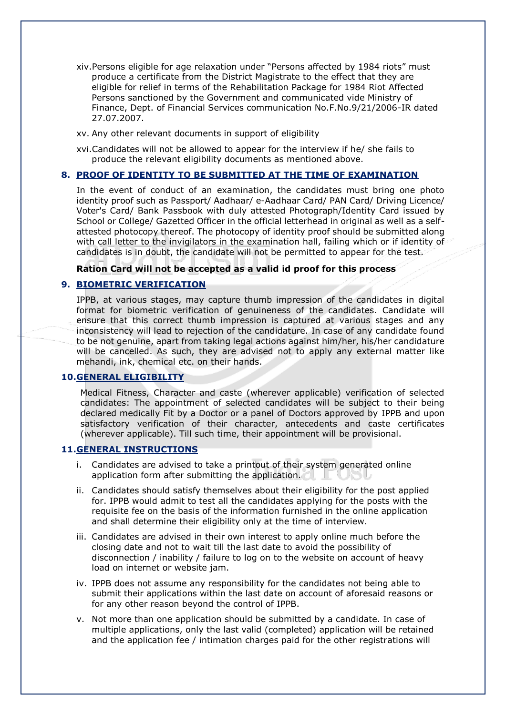- xiv.Persons eligible for age relaxation under "Persons affected by 1984 riots" must produce a certificate from the District Magistrate to the effect that they are eligible for relief in terms of the Rehabilitation Package for 1984 Riot Affected Persons sanctioned by the Government and communicated vide Ministry of Finance, Dept. of Financial Services communication No.F.No.9/21/2006-IR dated 27.07.2007.
- xv. Any other relevant documents in support of eligibility

xvi.Candidates will not be allowed to appear for the interview if he/ she fails to produce the relevant eligibility documents as mentioned above.

### **8. PROOF OF IDENTITY TO BE SUBMITTED AT THE TIME OF EXAMINATION**

In the event of conduct of an examination, the candidates must bring one photo identity proof such as Passport/ Aadhaar/ e-Aadhaar Card/ PAN Card/ Driving Licence/ Voter's Card/ Bank Passbook with duly attested Photograph/Identity Card issued by School or College/ Gazetted Officer in the official letterhead in original as well as a selfattested photocopy thereof. The photocopy of identity proof should be submitted along with call letter to the invigilators in the examination hall, failing which or if identity of candidates is in doubt, the candidate will not be permitted to appear for the test.

**Ration Card will not be accepted as a valid id proof for this process**

### **9. BIOMETRIC VERIFICATION**

IPPB, at various stages, may capture thumb impression of the candidates in digital format for biometric verification of genuineness of the candidates. Candidate will ensure that this correct thumb impression is captured at various stages and any inconsistency will lead to rejection of the candidature. In case of any candidate found to be not genuine, apart from taking legal actions against him/her, his/her candidature will be cancelled. As such, they are advised not to apply any external matter like mehandi, ink, chemical etc. on their hands.

### **10.GENERAL ELIGIBILITY**

Medical Fitness, Character and caste (wherever applicable) verification of selected candidates: The appointment of selected candidates will be subject to their being declared medically Fit by a Doctor or a panel of Doctors approved by IPPB and upon satisfactory verification of their character, antecedents and caste certificates (wherever applicable). Till such time, their appointment will be provisional.

#### **11.GENERAL INSTRUCTIONS**

- i. Candidates are advised to take a printout of their system generated online application form after submitting the application.
- ii. Candidates should satisfy themselves about their eligibility for the post applied for. IPPB would admit to test all the candidates applying for the posts with the requisite fee on the basis of the information furnished in the online application and shall determine their eligibility only at the time of interview.
- iii. Candidates are advised in their own interest to apply online much before the closing date and not to wait till the last date to avoid the possibility of disconnection / inability / failure to log on to the website on account of heavy load on internet or website jam.
- iv. IPPB does not assume any responsibility for the candidates not being able to submit their applications within the last date on account of aforesaid reasons or for any other reason beyond the control of IPPB.
- v. Not more than one application should be submitted by a candidate. In case of multiple applications, only the last valid (completed) application will be retained and the application fee / intimation charges paid for the other registrations will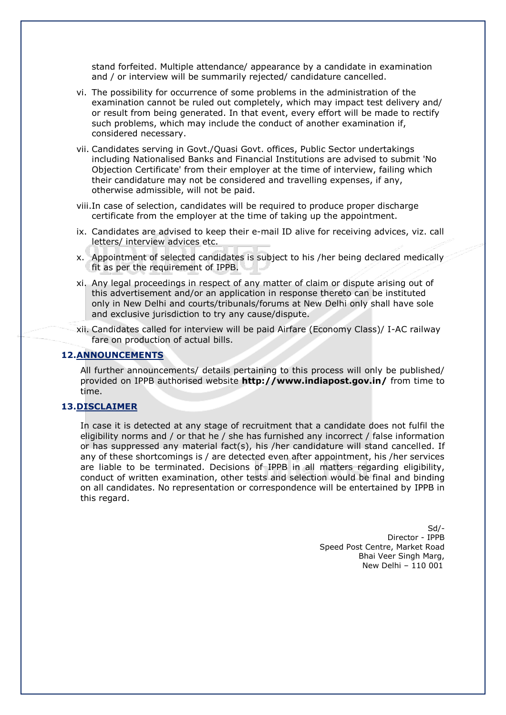stand forfeited. Multiple attendance/ appearance by a candidate in examination and / or interview will be summarily rejected/ candidature cancelled.

- vi. The possibility for occurrence of some problems in the administration of the examination cannot be ruled out completely, which may impact test delivery and/ or result from being generated. In that event, every effort will be made to rectify such problems, which may include the conduct of another examination if, considered necessary.
- vii. Candidates serving in Govt./Quasi Govt. offices, Public Sector undertakings including Nationalised Banks and Financial Institutions are advised to submit 'No Objection Certificate' from their employer at the time of interview, failing which their candidature may not be considered and travelling expenses, if any, otherwise admissible, will not be paid.
- viii.In case of selection, candidates will be required to produce proper discharge certificate from the employer at the time of taking up the appointment.
- ix. Candidates are advised to keep their e-mail ID alive for receiving advices, viz. call letters/ interview advices etc.
- x. Appointment of selected candidates is subject to his /her being declared medically fit as per the requirement of IPPB.
- xi. Any legal proceedings in respect of any matter of claim or dispute arising out of this advertisement and/or an application in response thereto can be instituted only in New Delhi and courts/tribunals/forums at New Delhi only shall have sole and exclusive jurisdiction to try any cause/dispute.
- xii. Candidates called for interview will be paid Airfare (Economy Class)/ I-AC railway fare on production of actual bills.

#### **12.ANNOUNCEMENTS**

All further announcements/ details pertaining to this process will only be published/ provided on IPPB authorised website **<http://www.indiapost.gov.in/>** from time to time.

### **13.DISCLAIMER**

In case it is detected at any stage of recruitment that a candidate does not fulfil the eligibility norms and / or that he / she has furnished any incorrect / false information or has suppressed any material fact(s), his /her candidature will stand cancelled. If any of these shortcomings is / are detected even after appointment, his /her services are liable to be terminated. Decisions of IPPB in all matters regarding eligibility, conduct of written examination, other tests and selection would be final and binding on all candidates. No representation or correspondence will be entertained by IPPB in this regard.

> Sd/- Director - IPPB Speed Post Centre, Market Road Bhai Veer Singh Marg, New Delhi – 110 001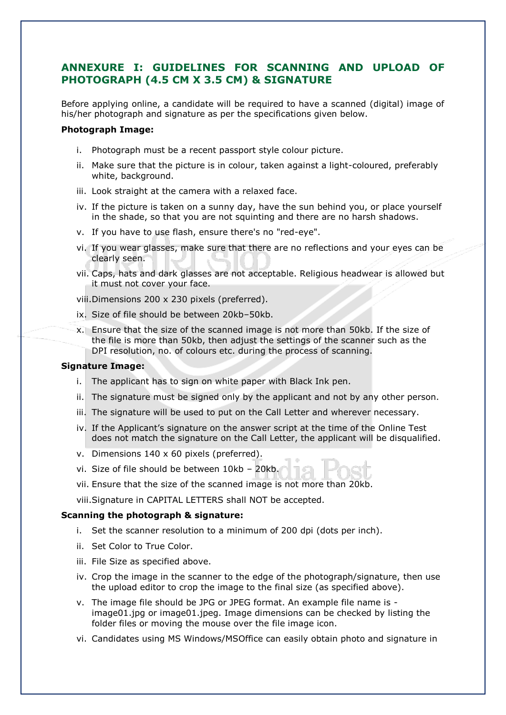### **ANNEXURE I: GUIDELINES FOR SCANNING AND UPLOAD OF PHOTOGRAPH (4.5 CM X 3.5 CM) & SIGNATURE**

Before applying online, a candidate will be required to have a scanned (digital) image of his/her photograph and signature as per the specifications given below.

#### **Photograph Image:**

- i. Photograph must be a recent passport style colour picture.
- ii. Make sure that the picture is in colour, taken against a light-coloured, preferably white, background.
- iii. Look straight at the camera with a relaxed face.
- iv. If the picture is taken on a sunny day, have the sun behind you, or place yourself in the shade, so that you are not squinting and there are no harsh shadows.
- v. If you have to use flash, ensure there's no "red-eye".
- vi. If you wear glasses, make sure that there are no reflections and your eyes can be clearly seen.
- vii. Caps, hats and dark glasses are not acceptable. Religious headwear is allowed but it must not cover your face.

viii.Dimensions 200 x 230 pixels (preferred).

- ix. Size of file should be between 20kb–50kb.
- x. Ensure that the size of the scanned image is not more than 50kb. If the size of the file is more than 50kb, then adjust the settings of the scanner such as the DPI resolution, no. of colours etc. during the process of scanning.

### **Signature Image:**

- i. The applicant has to sign on white paper with Black Ink pen.
- ii. The signature must be signed only by the applicant and not by any other person.
- iii. The signature will be used to put on the Call Letter and wherever necessary.
- iv. If the Applicant's signature on the answer script at the time of the Online Test does not match the signature on the Call Letter, the applicant will be disqualified.
- v. Dimensions 140 x 60 pixels (preferred).
- vi. Size of file should be between 10kb 20kb.
- vii. Ensure that the size of the scanned image is not more than 20kb.
- viii.Signature in CAPITAL LETTERS shall NOT be accepted.

#### **Scanning the photograph & signature:**

- i. Set the scanner resolution to a minimum of 200 dpi (dots per inch).
- ii. Set Color to True Color.
- iii. File Size as specified above.
- iv. Crop the image in the scanner to the edge of the photograph/signature, then use the upload editor to crop the image to the final size (as specified above).
- v. The image file should be JPG or JPEG format. An example file name is image01.jpg or image01.jpeg. Image dimensions can be checked by listing the folder files or moving the mouse over the file image icon.
- vi. Candidates using MS Windows/MSOffice can easily obtain photo and signature in